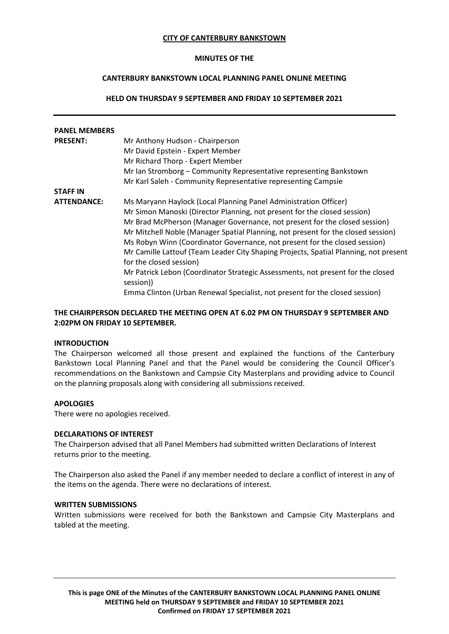#### **CITY OF CANTERBURY BANKSTOWN**

#### **MINUTES OF THE**

# **CANTERBURY BANKSTOWN LOCAL PLANNING PANEL ONLINE MEETING**

### **HELD ON THURSDAY 9 SEPTEMBER AND FRIDAY 10 SEPTEMBER 2021**

| <b>PANEL MEMBERS</b> |                                                                                      |
|----------------------|--------------------------------------------------------------------------------------|
|                      |                                                                                      |
| <b>PRESENT:</b>      | Mr Anthony Hudson - Chairperson                                                      |
|                      | Mr David Epstein - Expert Member                                                     |
|                      | Mr Richard Thorp - Expert Member                                                     |
|                      | Mr Ian Stromborg – Community Representative representing Bankstown                   |
|                      | Mr Karl Saleh - Community Representative representing Campsie                        |
| <b>STAFF IN</b>      |                                                                                      |
| <b>ATTENDANCE:</b>   | Ms Maryann Haylock (Local Planning Panel Administration Officer)                     |
|                      | Mr Simon Manoski (Director Planning, not present for the closed session)             |
|                      | Mr Brad McPherson (Manager Governance, not present for the closed session)           |
|                      | Mr Mitchell Noble (Manager Spatial Planning, not present for the closed session)     |
|                      | Ms Robyn Winn (Coordinator Governance, not present for the closed session)           |
|                      | Mr Camille Lattouf (Team Leader City Shaping Projects, Spatial Planning, not present |
|                      | for the closed session)                                                              |
|                      | Mr Patrick Lebon (Coordinator Strategic Assessments, not present for the closed      |
|                      | session))                                                                            |
|                      | Emma Clinton (Urban Renewal Specialist, not present for the closed session)          |

# **THE CHAIRPERSON DECLARED THE MEETING OPEN AT 6.02 PM ON THURSDAY 9 SEPTEMBER AND 2:02PM ON FRIDAY 10 SEPTEMBER.**

#### **INTRODUCTION**

The Chairperson welcomed all those present and explained the functions of the Canterbury Bankstown Local Planning Panel and that the Panel would be considering the Council Officer's recommendations on the Bankstown and Campsie City Masterplans and providing advice to Council on the planning proposals along with considering all submissions received.

### **APOLOGIES**

There were no apologies received.

#### **DECLARATIONS OF INTEREST**

The Chairperson advised that all Panel Members had submitted written Declarations of Interest returns prior to the meeting.

The Chairperson also asked the Panel if any member needed to declare a conflict of interest in any of the items on the agenda. There were no declarations of interest.

#### **WRITTEN SUBMISSIONS**

Written submissions were received for both the Bankstown and Campsie City Masterplans and tabled at the meeting.

**This is page ONE of the Minutes of the CANTERBURY BANKSTOWN LOCAL PLANNING PANEL ONLINE MEETING held on THURSDAY 9 SEPTEMBER and FRIDAY 10 SEPTEMBER 2021 Confirmed on FRIDAY 17 SEPTEMBER 2021**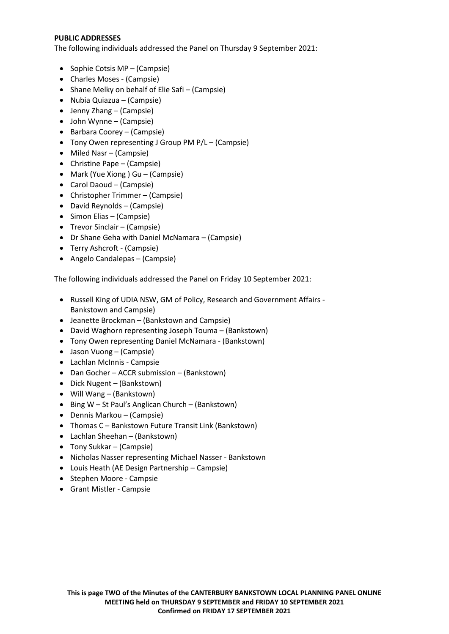### **PUBLIC ADDRESSES**

The following individuals addressed the Panel on Thursday 9 September 2021:

- Sophie Cotsis MP (Campsie)
- Charles Moses (Campsie)
- Shane Melky on behalf of Elie Safi (Campsie)
- Nubia Quiazua (Campsie)
- Jenny Zhang (Campsie)
- John Wynne (Campsie)
- Barbara Coorey (Campsie)
- Tony Owen representing J Group PM P/L (Campsie)
- Miled Nasr (Campsie)
- Christine Pape (Campsie)
- Mark (Yue Xiong ) Gu (Campsie)
- Carol Daoud (Campsie)
- Christopher Trimmer (Campsie)
- David Reynolds (Campsie)
- Simon Elias (Campsie)
- Trevor Sinclair (Campsie)
- Dr Shane Geha with Daniel McNamara (Campsie)
- Terry Ashcroft (Campsie)
- Angelo Candalepas (Campsie)

The following individuals addressed the Panel on Friday 10 September 2021:

- Russell King of UDIA NSW, GM of Policy, Research and Government Affairs Bankstown and Campsie)
- Jeanette Brockman (Bankstown and Campsie)
- David Waghorn representing Joseph Touma (Bankstown)
- Tony Owen representing Daniel McNamara (Bankstown)
- Jason Vuong (Campsie)
- Lachlan McInnis Campsie
- Dan Gocher ACCR submission (Bankstown)
- Dick Nugent (Bankstown)
- Will Wang (Bankstown)
- Bing W St Paul's Anglican Church (Bankstown)
- Dennis Markou (Campsie)
- Thomas C Bankstown Future Transit Link (Bankstown)
- Lachlan Sheehan (Bankstown)
- Tony Sukkar (Campsie)
- Nicholas Nasser representing Michael Nasser Bankstown
- Louis Heath (AE Design Partnership Campsie)
- Stephen Moore Campsie
- Grant Mistler Campsie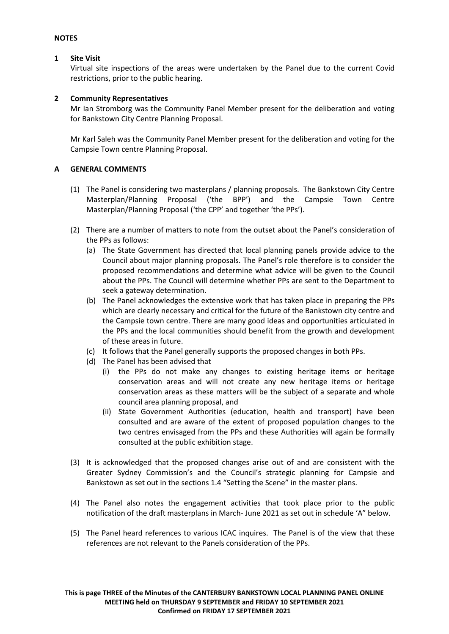#### **NOTES**

### **1 Site Visit**

Virtual site inspections of the areas were undertaken by the Panel due to the current Covid restrictions, prior to the public hearing.

# **2 Community Representatives**

Mr Ian Stromborg was the Community Panel Member present for the deliberation and voting for Bankstown City Centre Planning Proposal.

Mr Karl Saleh was the Community Panel Member present for the deliberation and voting for the Campsie Town centre Planning Proposal.

# **A GENERAL COMMENTS**

- (1) The Panel is considering two masterplans / planning proposals. The Bankstown City Centre Masterplan/Planning Proposal ('the BPP') and the Campsie Town Centre Masterplan/Planning Proposal ('the CPP' and together 'the PPs').
- (2) There are a number of matters to note from the outset about the Panel's consideration of the PPs as follows:
	- (a) The State Government has directed that local planning panels provide advice to the Council about major planning proposals. The Panel's role therefore is to consider the proposed recommendations and determine what advice will be given to the Council about the PPs. The Council will determine whether PPs are sent to the Department to seek a gateway determination.
	- (b) The Panel acknowledges the extensive work that has taken place in preparing the PPs which are clearly necessary and critical for the future of the Bankstown city centre and the Campsie town centre. There are many good ideas and opportunities articulated in the PPs and the local communities should benefit from the growth and development of these areas in future.
	- (c) It follows that the Panel generally supports the proposed changes in both PPs.
	- (d) The Panel has been advised that
		- (i) the PPs do not make any changes to existing heritage items or heritage conservation areas and will not create any new heritage items or heritage conservation areas as these matters will be the subject of a separate and whole council area planning proposal, and
		- (ii) State Government Authorities (education, health and transport) have been consulted and are aware of the extent of proposed population changes to the two centres envisaged from the PPs and these Authorities will again be formally consulted at the public exhibition stage.
- (3) It is acknowledged that the proposed changes arise out of and are consistent with the Greater Sydney Commission's and the Council's strategic planning for Campsie and Bankstown as set out in the sections 1.4 "Setting the Scene" in the master plans.
- (4) The Panel also notes the engagement activities that took place prior to the public notification of the draft masterplans in March- June 2021 as set out in schedule 'A" below.
- (5) The Panel heard references to various ICAC inquires. The Panel is of the view that these references are not relevant to the Panels consideration of the PPs.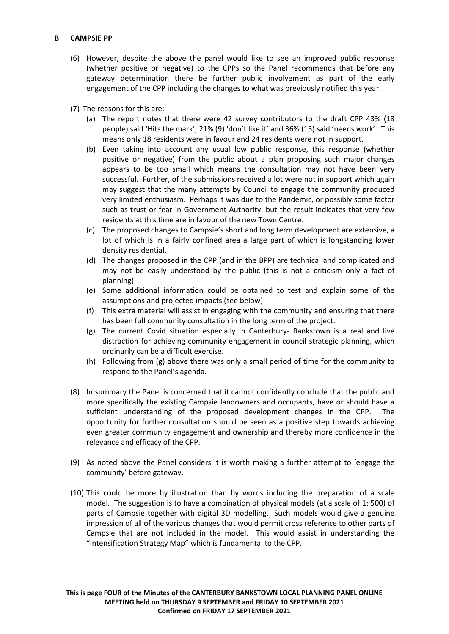# **B CAMPSIE PP**

- (6) However, despite the above the panel would like to see an improved public response (whether positive or negative) to the CPPs so the Panel recommends that before any gateway determination there be further public involvement as part of the early engagement of the CPP including the changes to what was previously notified this year.
- (7) The reasons for this are:
	- (a) The report notes that there were 42 survey contributors to the draft CPP 43% (18 people) said 'Hits the mark'; 21% (9) 'don't like it' and 36% (15) said 'needs work'. This means only 18 residents were in favour and 24 residents were not in support.
	- (b) Even taking into account any usual low public response, this response (whether positive or negative) from the public about a plan proposing such major changes appears to be too small which means the consultation may not have been very successful. Further, of the submissions received a lot were not in support which again may suggest that the many attempts by Council to engage the community produced very limited enthusiasm. Perhaps it was due to the Pandemic, or possibly some factor such as trust or fear in Government Authority, but the result indicates that very few residents at this time are in favour of the new Town Centre.
	- (c) The proposed changes to Campsie's short and long term development are extensive, a lot of which is in a fairly confined area a large part of which is longstanding lower density residential.
	- (d) The changes proposed in the CPP (and in the BPP) are technical and complicated and may not be easily understood by the public (this is not a criticism only a fact of planning).
	- (e) Some additional information could be obtained to test and explain some of the assumptions and projected impacts (see below).
	- (f) This extra material will assist in engaging with the community and ensuring that there has been full community consultation in the long term of the project.
	- (g) The current Covid situation especially in Canterbury- Bankstown is a real and live distraction for achieving community engagement in council strategic planning, which ordinarily can be a difficult exercise.
	- (h) Following from (g) above there was only a small period of time for the community to respond to the Panel's agenda.
- (8) In summary the Panel is concerned that it cannot confidently conclude that the public and more specifically the existing Campsie landowners and occupants, have or should have a sufficient understanding of the proposed development changes in the CPP. The opportunity for further consultation should be seen as a positive step towards achieving even greater community engagement and ownership and thereby more confidence in the relevance and efficacy of the CPP.
- (9) As noted above the Panel considers it is worth making a further attempt to 'engage the community' before gateway.
- (10) This could be more by illustration than by words including the preparation of a scale model. The suggestion is to have a combination of physical models (at a scale of 1: 500) of parts of Campsie together with digital 3D modelling. Such models would give a genuine impression of all of the various changes that would permit cross reference to other parts of Campsie that are not included in the model. This would assist in understanding the "Intensification Strategy Map" which is fundamental to the CPP.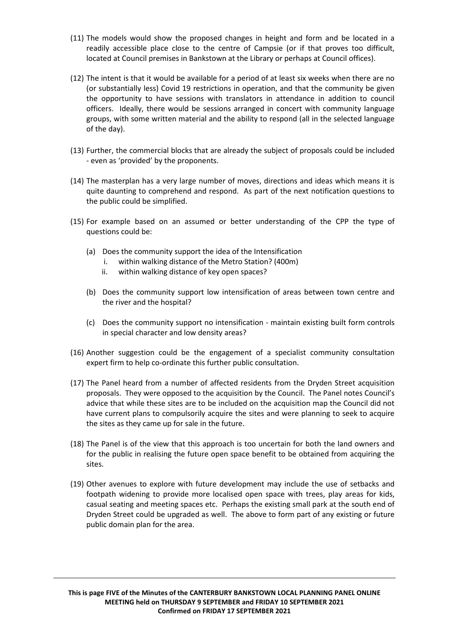- (11) The models would show the proposed changes in height and form and be located in a readily accessible place close to the centre of Campsie (or if that proves too difficult, located at Council premises in Bankstown at the Library or perhaps at Council offices).
- (12) The intent is that it would be available for a period of at least six weeks when there are no (or substantially less) Covid 19 restrictions in operation, and that the community be given the opportunity to have sessions with translators in attendance in addition to council officers. Ideally, there would be sessions arranged in concert with community language groups, with some written material and the ability to respond (all in the selected language of the day).
- (13) Further, the commercial blocks that are already the subject of proposals could be included - even as 'provided' by the proponents.
- (14) The masterplan has a very large number of moves, directions and ideas which means it is quite daunting to comprehend and respond. As part of the next notification questions to the public could be simplified.
- (15) For example based on an assumed or better understanding of the CPP the type of questions could be:
	- (a) Does the community support the idea of the Intensification
		- i. within walking distance of the Metro Station? (400m)
		- ii. within walking distance of key open spaces?
	- (b) Does the community support low intensification of areas between town centre and the river and the hospital?
	- (c) Does the community support no intensification maintain existing built form controls in special character and low density areas?
- (16) Another suggestion could be the engagement of a specialist community consultation expert firm to help co-ordinate this further public consultation.
- (17) The Panel heard from a number of affected residents from the Dryden Street acquisition proposals. They were opposed to the acquisition by the Council. The Panel notes Council's advice that while these sites are to be included on the acquisition map the Council did not have current plans to compulsorily acquire the sites and were planning to seek to acquire the sites as they came up for sale in the future.
- (18) The Panel is of the view that this approach is too uncertain for both the land owners and for the public in realising the future open space benefit to be obtained from acquiring the sites.
- (19) Other avenues to explore with future development may include the use of setbacks and footpath widening to provide more localised open space with trees, play areas for kids, casual seating and meeting spaces etc. Perhaps the existing small park at the south end of Dryden Street could be upgraded as well. The above to form part of any existing or future public domain plan for the area.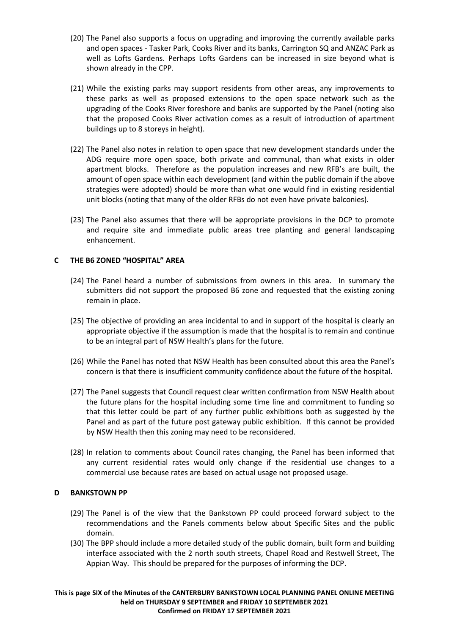- (20) The Panel also supports a focus on upgrading and improving the currently available parks and open spaces - Tasker Park, Cooks River and its banks, Carrington SQ and ANZAC Park as well as Lofts Gardens. Perhaps Lofts Gardens can be increased in size beyond what is shown already in the CPP.
- (21) While the existing parks may support residents from other areas, any improvements to these parks as well as proposed extensions to the open space network such as the upgrading of the Cooks River foreshore and banks are supported by the Panel (noting also that the proposed Cooks River activation comes as a result of introduction of apartment buildings up to 8 storeys in height).
- (22) The Panel also notes in relation to open space that new development standards under the ADG require more open space, both private and communal, than what exists in older apartment blocks. Therefore as the population increases and new RFB's are built, the amount of open space within each development (and within the public domain if the above strategies were adopted) should be more than what one would find in existing residential unit blocks (noting that many of the older RFBs do not even have private balconies).
- (23) The Panel also assumes that there will be appropriate provisions in the DCP to promote and require site and immediate public areas tree planting and general landscaping enhancement.

# **C THE B6 ZONED "HOSPITAL" AREA**

- (24) The Panel heard a number of submissions from owners in this area. In summary the submitters did not support the proposed B6 zone and requested that the existing zoning remain in place.
- (25) The objective of providing an area incidental to and in support of the hospital is clearly an appropriate objective if the assumption is made that the hospital is to remain and continue to be an integral part of NSW Health's plans for the future.
- (26) While the Panel has noted that NSW Health has been consulted about this area the Panel's concern is that there is insufficient community confidence about the future of the hospital.
- (27) The Panel suggests that Council request clear written confirmation from NSW Health about the future plans for the hospital including some time line and commitment to funding so that this letter could be part of any further public exhibitions both as suggested by the Panel and as part of the future post gateway public exhibition. If this cannot be provided by NSW Health then this zoning may need to be reconsidered.
- (28) In relation to comments about Council rates changing, the Panel has been informed that any current residential rates would only change if the residential use changes to a commercial use because rates are based on actual usage not proposed usage.

# **D BANKSTOWN PP**

- (29) The Panel is of the view that the Bankstown PP could proceed forward subject to the recommendations and the Panels comments below about Specific Sites and the public domain.
- (30) The BPP should include a more detailed study of the public domain, built form and building interface associated with the 2 north south streets, Chapel Road and Restwell Street, The Appian Way. This should be prepared for the purposes of informing the DCP.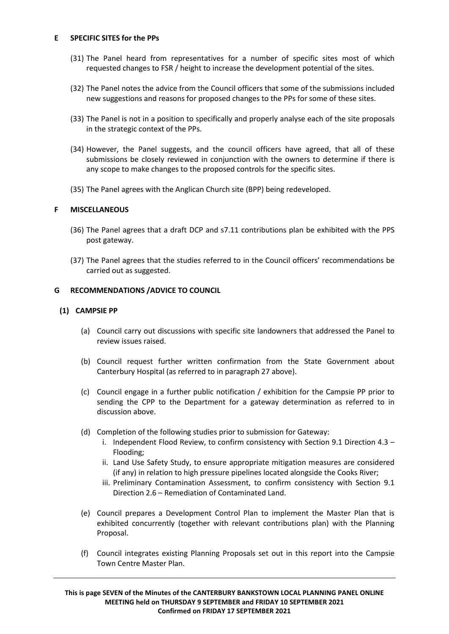### **E SPECIFIC SITES for the PPs**

- (31) The Panel heard from representatives for a number of specific sites most of which requested changes to FSR / height to increase the development potential of the sites.
- (32) The Panel notes the advice from the Council officers that some of the submissions included new suggestions and reasons for proposed changes to the PPs for some of these sites.
- (33) The Panel is not in a position to specifically and properly analyse each of the site proposals in the strategic context of the PPs.
- (34) However, the Panel suggests, and the council officers have agreed, that all of these submissions be closely reviewed in conjunction with the owners to determine if there is any scope to make changes to the proposed controls for the specific sites.
- (35) The Panel agrees with the Anglican Church site (BPP) being redeveloped.

# **F MISCELLANEOUS**

- (36) The Panel agrees that a draft DCP and s7.11 contributions plan be exhibited with the PPS post gateway.
- (37) The Panel agrees that the studies referred to in the Council officers' recommendations be carried out as suggested.

# **G RECOMMENDATIONS /ADVICE TO COUNCIL**

# **(1) CAMPSIE PP**

- (a) Council carry out discussions with specific site landowners that addressed the Panel to review issues raised.
- (b) Council request further written confirmation from the State Government about Canterbury Hospital (as referred to in paragraph 27 above).
- (c) Council engage in a further public notification / exhibition for the Campsie PP prior to sending the CPP to the Department for a gateway determination as referred to in discussion above.
- (d) Completion of the following studies prior to submission for Gateway:
	- i. Independent Flood Review, to confirm consistency with Section 9.1 Direction 4.3 Flooding;
	- ii. Land Use Safety Study, to ensure appropriate mitigation measures are considered (if any) in relation to high pressure pipelines located alongside the Cooks River;
	- iii. Preliminary Contamination Assessment, to confirm consistency with Section 9.1 Direction 2.6 – Remediation of Contaminated Land.
- (e) Council prepares a Development Control Plan to implement the Master Plan that is exhibited concurrently (together with relevant contributions plan) with the Planning Proposal.
- (f) Council integrates existing Planning Proposals set out in this report into the Campsie Town Centre Master Plan.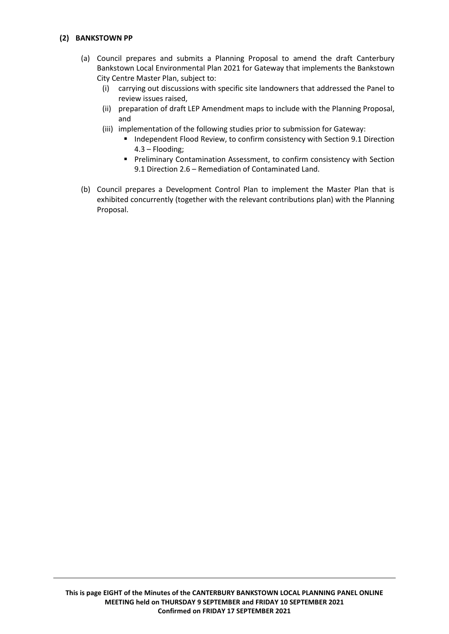# **(2) BANKSTOWN PP**

- (a) Council prepares and submits a Planning Proposal to amend the draft Canterbury Bankstown Local Environmental Plan 2021 for Gateway that implements the Bankstown City Centre Master Plan, subject to:
	- (i) carrying out discussions with specific site landowners that addressed the Panel to review issues raised,
	- (ii) preparation of draft LEP Amendment maps to include with the Planning Proposal, and
	- (iii) implementation of the following studies prior to submission for Gateway:
		- **Independent Flood Review, to confirm consistency with Section 9.1 Direction** 4.3 – Flooding;
		- **Preliminary Contamination Assessment, to confirm consistency with Section** 9.1 Direction 2.6 – Remediation of Contaminated Land.
- (b) Council prepares a Development Control Plan to implement the Master Plan that is exhibited concurrently (together with the relevant contributions plan) with the Planning Proposal.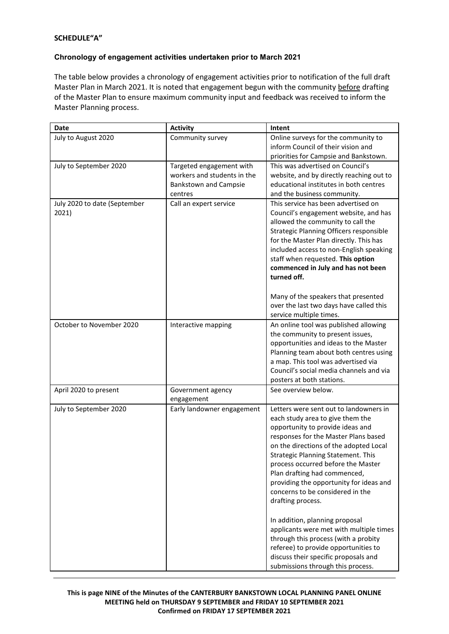# **SCHEDULE"A"**

# **Chronology of engagement activities undertaken prior to March 2021**

The table below provides a chronology of engagement activities prior to notification of the full draft Master Plan in March 2021. It is noted that engagement begun with the community before drafting of the Master Plan to ensure maximum community input and feedback was received to inform the Master Planning process.

| Date                                  | <b>Activity</b>              | Intent                                                                         |
|---------------------------------------|------------------------------|--------------------------------------------------------------------------------|
| July to August 2020                   | Community survey             | Online surveys for the community to                                            |
|                                       |                              | inform Council of their vision and                                             |
|                                       |                              | priorities for Campsie and Bankstown.                                          |
| July to September 2020                | Targeted engagement with     | This was advertised on Council's                                               |
|                                       | workers and students in the  | website, and by directly reaching out to                                       |
|                                       | <b>Bankstown and Campsie</b> | educational institutes in both centres                                         |
|                                       | centres                      | and the business community.                                                    |
| July 2020 to date (September<br>2021) | Call an expert service       | This service has been advertised on<br>Council's engagement website, and has   |
|                                       |                              | allowed the community to call the                                              |
|                                       |                              | Strategic Planning Officers responsible                                        |
|                                       |                              | for the Master Plan directly. This has                                         |
|                                       |                              | included access to non-English speaking                                        |
|                                       |                              | staff when requested. This option                                              |
|                                       |                              | commenced in July and has not been                                             |
|                                       |                              | turned off.                                                                    |
|                                       |                              |                                                                                |
|                                       |                              | Many of the speakers that presented                                            |
|                                       |                              | over the last two days have called this                                        |
|                                       |                              | service multiple times.                                                        |
| October to November 2020              | Interactive mapping          | An online tool was published allowing                                          |
|                                       |                              | the community to present issues,                                               |
|                                       |                              | opportunities and ideas to the Master                                          |
|                                       |                              | Planning team about both centres using                                         |
|                                       |                              | a map. This tool was advertised via<br>Council's social media channels and via |
|                                       |                              | posters at both stations.                                                      |
| April 2020 to present                 | Government agency            | See overview below.                                                            |
|                                       | engagement                   |                                                                                |
| July to September 2020                | Early landowner engagement   | Letters were sent out to landowners in                                         |
|                                       |                              | each study area to give them the                                               |
|                                       |                              | opportunity to provide ideas and                                               |
|                                       |                              | responses for the Master Plans based                                           |
|                                       |                              | on the directions of the adopted Local                                         |
|                                       |                              | <b>Strategic Planning Statement. This</b>                                      |
|                                       |                              | process occurred before the Master                                             |
|                                       |                              | Plan drafting had commenced,                                                   |
|                                       |                              | providing the opportunity for ideas and                                        |
|                                       |                              | concerns to be considered in the                                               |
|                                       |                              | drafting process.                                                              |
|                                       |                              |                                                                                |
|                                       |                              | In addition, planning proposal<br>applicants were met with multiple times      |
|                                       |                              | through this process (with a probity                                           |
|                                       |                              | referee) to provide opportunities to                                           |
|                                       |                              | discuss their specific proposals and                                           |
|                                       |                              | submissions through this process.                                              |